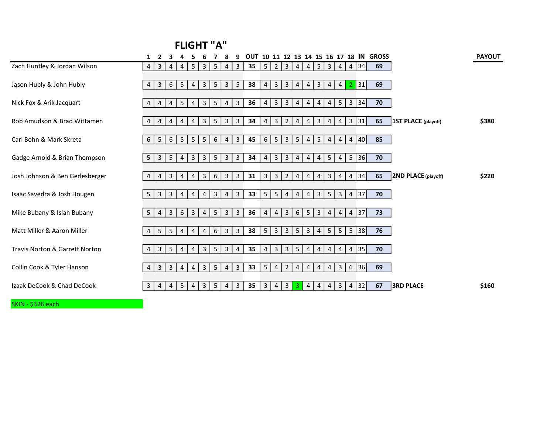## FLIGHT "A"

|                                           | $\overline{2}$<br>1                                     |                                                                                        | OUT 10 11 12 13 14 15 16 17 18 IN GROSS                                                                                                                 | <b>PAYOUT</b> |
|-------------------------------------------|---------------------------------------------------------|----------------------------------------------------------------------------------------|---------------------------------------------------------------------------------------------------------------------------------------------------------|---------------|
| Zach Huntley & Jordan Wilson              | $\mathbf{3}$<br>4<br>4<br>4                             | 5<br>$\mathbf{3}$<br>5<br>$\mathbf{3}$<br>$\vert 4 \vert$                              | 69<br> 34 <br>35<br>2<br>$\mathbf{3}$<br>5 <br>5<br>$\mathbf{3}$<br>$\overline{4}$<br>$\overline{4}$<br>4<br>4                                          |               |
| Jason Hubly & John Hubly                  | 5<br>$\mathbf{3}$<br>6<br>4                             | $\mathbf{3}$<br>5<br>3 <sup>1</sup><br>5<br>4                                          | 38<br>3<br>$\mathbf{3}$<br>$\mathbf{3}$<br> 31 <br>69<br>4<br>$\mathbf{2}$<br>4<br>4<br>$\overline{4}$<br>4                                             |               |
| Nick Fox & Arik Jacquart                  | 5<br>$\overline{4}$<br>4<br>4                           | $5\overline{)}$<br>$\mathbf{3}$<br>4<br>3<br>4                                         | $5\overline{)}$<br>36<br>$\mathbf{3}$<br>$\mathbf{3}$<br>34<br>3<br>70<br>4<br>4<br>$4 \mid$<br>4<br>4                                                  |               |
| Rob Amudson & Brad Wittamen               | $\overline{4}$<br>$\overline{4}$<br>4<br>4              | 3<br>5<br>$\mathbf{3}$<br>$\mathbf{3}$<br>4                                            | 31 <br>34<br>$\mathbf{3}$<br>$\mathbf{3}$<br>65<br><b>1ST PLACE (playoff)</b><br>4<br>$\overline{2}$<br>3<br>$\overline{4}$<br>4<br>4<br>4              | \$380         |
| Carl Bohn & Mark Skreta                   | 5 <sup>1</sup><br>$5\overline{)}$<br>6<br>6             | 6<br>5<br>5 <sup>1</sup><br>$4 \mid$<br>3                                              | 5 <sup>1</sup><br>3 <sup>1</sup><br>5 <sub>5</sub><br>45<br>6<br>5 <br>$\overline{4}$<br>$\overline{4}$<br>$\overline{4}$<br>40<br>85<br>$\overline{4}$ |               |
| Gadge Arnold & Brian Thompson             | $\overline{3}$<br>5<br>5 <sup>1</sup><br>$\overline{4}$ | $5\overline{)}$<br>3 <sup>1</sup><br>3<br>$\overline{3}$<br>3                          | $\mathbf{3}$<br>$\mathbf{3}$<br>5 <sup>1</sup><br>$5\overline{)}$<br> 36 <br>34<br>70<br>4<br>$\overline{4}$<br>41<br>$\overline{4}$<br>4               |               |
| Josh Johnson & Ben Gerlesberger           | 3<br>4<br>4<br>4                                        | 3 <sup>1</sup><br>$6\overline{6}$<br>3 <sup>1</sup><br>$\mathbf{3}$<br>4               | 34<br>65<br>2ND PLACE (playoff)<br>31<br>$\mathbf{3}$<br>$\mathbf{3}$<br>3<br>$\overline{2}$<br>4<br>4<br>4<br>$\overline{4}$<br>4                      | \$220         |
| Isaac Savedra & Josh Hougen               | $\mathbf{3}$<br>3<br>5 <sup>1</sup><br>4                | $\overline{3}$<br>$\mathbf{3}$<br>$4 \mid$<br>$\overline{4}$<br>4                      | 5<br>$\mathbf{3}$<br>37<br>33<br>5<br>3 <sup>1</sup><br>$5\overline{)}$<br>70<br>$\overline{4}$<br>4<br>4<br>4                                          |               |
| Mike Bubany & Isiah Bubany                | $\overline{3}$<br>6<br>5 <sup>1</sup><br>$\overline{4}$ | $5\overline{)}$<br>3 <sup>1</sup><br>3<br>3<br>$\overline{4}$                          | $\mathbf{3}$<br>$6\overline{6}$<br>5<br>$\overline{3}$<br>37<br>36<br>4<br>$\overline{4}$<br>$\overline{4}$<br>$\overline{4}$<br>73<br>$\overline{4}$   |               |
| Matt Miller & Aaron Miller                | $5\phantom{.}$<br>5<br>4<br>4                           | $6\overline{6}$<br>3 <sup>1</sup><br>3<br>4<br>$\overline{4}$                          | $\overline{3}$<br>$4 \mid 5 \mid$<br>5 <sup>1</sup><br>$5\phantom{.0}$<br>38<br>5<br>$\mathbf{3}$<br>$5\phantom{.}$<br>$\mathbf{3}$<br> 38 <br>76       |               |
| <b>Travis Norton &amp; Garrett Norton</b> | $5\phantom{.}$<br>$\mathbf{3}$<br>4<br>4                | 3 <sup>1</sup><br>$5\phantom{.}$<br>3 <sup>1</sup><br>$\overline{4}$<br>$\overline{4}$ | 35<br>3<br>3 <br>$5\overline{)}$<br>35<br>$\overline{4}$<br>4 <br>$\overline{4}$<br>$\overline{4}$<br>$\overline{4}$<br>70<br>4                         |               |
| Collin Cook & Tyler Hanson                | $\mathbf{3}$<br>3<br>4<br>4                             | 5<br>3<br>$\mathbf{3}$<br>4<br>4                                                       | $\mathbf{3}$<br>6<br>36<br>33<br>5<br>69<br>4<br>$\overline{2}$<br>4<br>4<br>$\overline{4}$<br>4                                                        |               |
| Izaak DeCook & Chad DeCook                | 4<br>5<br>3<br>4                                        | 3<br>5<br>3<br>$\overline{4}$<br>4                                                     | 35<br>$\overline{3}$<br>32<br><b>3RD PLACE</b><br>3<br>3<br>$\overline{4}$<br>67<br>$\overline{4}$<br>$\mathbf{3}$<br>$\overline{4}$<br>4<br>4          | \$160         |

SKIN - \$326 each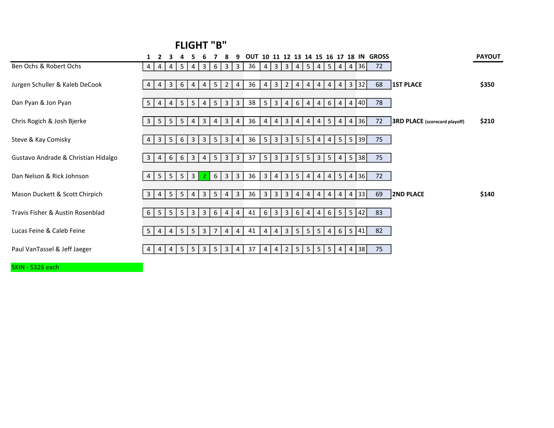## FLIGHT "B"

|                                     |                | $\overline{2}$ |                |                |                |                |                 |                         |                         | OUT |                         |                |                 |                |                |                |                 |                |                |    | 10 11 12 13 14 15 16 17 18 IN GROSS |                                      | <b>PAYOUT</b> |
|-------------------------------------|----------------|----------------|----------------|----------------|----------------|----------------|-----------------|-------------------------|-------------------------|-----|-------------------------|----------------|-----------------|----------------|----------------|----------------|-----------------|----------------|----------------|----|-------------------------------------|--------------------------------------|---------------|
| Ben Ochs & Robert Ochs              | 4              | 4              | 4              | 5              | 4              | 3              | 6               | 3                       | $\overline{3}$          | 36  | 4                       | $\overline{3}$ | $\overline{3}$  | 4              | 5              | 4              | 5 <sup>1</sup>  | $\overline{4}$ | 4              | 36 | 72                                  |                                      |               |
| Jurgen Schuller & Kaleb DeCook      | 4              | 4              | $\overline{3}$ | 6              | 4              | 4              | 5 <sup>5</sup>  | $\overline{2}$          | $\overline{4}$          | 36  | $\overline{4}$          | $\overline{3}$ | 2               | $\overline{4}$ | $\overline{4}$ | 4              | 4               | 4              | $\overline{3}$ | 32 | 68                                  | <b>1ST PLACE</b>                     | \$350         |
| Dan Pyan & Jon Pyan                 | 5              | $\overline{4}$ | 4              | 5              | 5              | 4              | 5               | $\overline{\mathbf{3}}$ | $\mathbf{3}$            | 38  | 5 <sup>5</sup>          | $\overline{3}$ | $\vert 4 \vert$ | 6              | $\overline{4}$ | 4              | 6               | $\overline{4}$ | $\overline{4}$ | 40 | 78                                  |                                      |               |
| Chris Rogich & Josh Bjerke          | $\mathbf{3}$   | 5              | 5              | 5              | $\overline{4}$ | 3              | 4               | $\mathbf{3}$            | 4                       | 36  | 4                       | 4              | $\mathbf{3}$    | $\overline{4}$ | 4              | 4              | 5               | 4              | 4              | 36 | 72                                  | <b>3RD PLACE</b> (scorecard playoff) | \$210         |
| Steve & Kay Comisky                 | $\overline{4}$ | $\overline{3}$ | 5              | 6              | 3              | 3              | 5               | $\overline{\mathbf{3}}$ | 4                       | 36  | $5\overline{)}$         | $\overline{3}$ | 3               | 5 <sup>1</sup> | 5 <sup>1</sup> | $\overline{4}$ | $\overline{4}$  | 5              | 5              | 39 | 75                                  |                                      |               |
| Gustavo Andrade & Christian Hidalgo | 3 <sup>1</sup> | 4              | 6              | 6              | $\overline{3}$ | 4              | 5               | $\overline{\mathbf{3}}$ | $\overline{\mathbf{3}}$ | 37  | 5                       | $\overline{3}$ | 3               | 5 <sup>5</sup> | 5              | 3              | 5               | 4              | 5              | 38 | 75                                  |                                      |               |
| Dan Nelson & Rick Johnson           | $\overline{4}$ | 5              | 5              | 5              | $\overline{3}$ |                | $6\overline{6}$ | $\overline{3}$          | $\mathbf{3}$            | 36  | $\overline{\mathbf{3}}$ | 4              | 3               | 5 <sup>5</sup> | 4              | 4              | 4               | 5 <sup>1</sup> | $\overline{4}$ | 36 | 72                                  |                                      |               |
| Mason Duckett & Scott Chirpich      | $\overline{3}$ | 4              | 5              | 5              | 4              | $\mathbf{3}$   | 5               | $\overline{4}$          | 3                       | 36  | $\overline{3}$          | $\mathbf{3}$   | 3               | $\overline{4}$ | $\overline{4}$ | 4              | 4               | 4              | $\overline{4}$ | 33 | 69                                  | <b>2ND PLACE</b>                     | \$140         |
| Travis Fisher & Austin Rosenblad    | 6              | 5              | 5              | 5 <sub>1</sub> | $\mathbf{3}$   | $\mathbf{3}$   | 6               | $\overline{4}$          | 4                       | 41  | $6\overline{6}$         | $\overline{3}$ | 3               | 6              | $\overline{4}$ | $\overline{4}$ | $6\overline{6}$ | 5 <sup>1</sup> | 5              | 42 | 83                                  |                                      |               |
| Lucas Feine & Caleb Feine           | 5 <sub>1</sub> | $\overline{4}$ | $\overline{4}$ | 5              | 5              | $\overline{3}$ | $\overline{7}$  | 4                       | 4                       | 41  | $\overline{4}$          | 4              | 3               | 5 <sup>5</sup> | 5              | 5              | $\overline{4}$  | 6              | $5\phantom{.}$ | 41 | 82                                  |                                      |               |
| Paul VanTassel & Jeff Jaeger        |                | 4              | 4              | 5              | 5              | 3              | 5               | 3                       | 4                       | 37  | 4                       | 4              | 2 <sup>1</sup>  | 5 <sup>5</sup> | 5              | 5              | 5               | 4              | $\overline{4}$ | 38 | 75                                  |                                      |               |

SKIN - \$326 each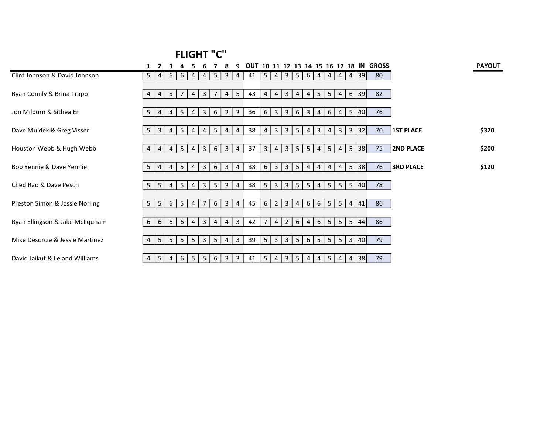## FLIGHT "C"

|                                 |          |                         |                |                |                |                |                |                |                | OUT |                |                |                |                 |                |                |                |                 |                |            | 10 11 12 13 14 15 16 17 18 IN GROSS |                  | <b>PAYOUT</b> |
|---------------------------------|----------|-------------------------|----------------|----------------|----------------|----------------|----------------|----------------|----------------|-----|----------------|----------------|----------------|-----------------|----------------|----------------|----------------|-----------------|----------------|------------|-------------------------------------|------------------|---------------|
| Clint Johnson & David Johnson   | 5        | 4                       | 6              | 6              | 4              | 4              | -5             | 3 <sup>1</sup> | $\overline{4}$ | 41  | 5 <sup>1</sup> | $\vert$ 4      | 3 <sup>1</sup> | 5               | $6 \mid$       | 4              | $4 \mid$       | $\vert$ 4       |                | 4 39       | 80                                  |                  |               |
| Ryan Connly & Brina Trapp       | 4        | 4                       | 5 <sup>1</sup> | $\overline{7}$ | $\overline{4}$ | 3              | 7              | $\overline{4}$ | $5\phantom{.}$ | 43  | 4              | 4              | $\mathbf{3}$   | $\overline{4}$  | 4              | 5              | 5 <sup>1</sup> | $\overline{4}$  |                | 6 39       | 82                                  |                  |               |
| Jon Milburn & Sithea En         | 5        | 4                       | 4              | 5              | 4              | 3              | 6              | 2 <sup>1</sup> | $\mathbf{3}$   | 36  | 6              | 3              | 3              | 6               | 3              | $\overline{4}$ | 6              | $\overline{4}$  | 5              | 40         | 76                                  |                  |               |
| Dave Muldek & Greg Visser       | 5        | $\overline{\mathbf{3}}$ | 4              | 5              | $\overline{4}$ | 4              | 5              | $\vert$ 4      | 4              | 38  | 4              | 3 <sup>1</sup> | 3 <sup>1</sup> | $5\phantom{.0}$ | 4              | 3              | $\overline{4}$ | $\mathbf{3}$    |                | 3 32       | 70                                  | <b>1ST PLACE</b> | \$320         |
| Houston Webb & Hugh Webb        | 4        | 4                       | 4              | 5              | 4              | 3              | 6              | 3 <sup>1</sup> | 4              | 37  | $\overline{3}$ | 4              | $\mathbf{3}$   | 5               | 5              | 4              | 5 <sup>5</sup> | $\overline{4}$  | 5 <sup>5</sup> | 38         | 75                                  | <b>2ND PLACE</b> | \$200         |
| Bob Yennie & Dave Yennie        | 5        | 4                       | 4              | 5              | 4              | 3              | 6              | 3 <sup>1</sup> | $\overline{4}$ | 38  | $6 \mid$       | $\overline{3}$ | 3 <sup>1</sup> | $5\overline{)}$ | 4              | 4              | $\overline{4}$ | $\overline{4}$  |                | 5 38       | 76                                  | <b>3RD PLACE</b> | \$120         |
| Ched Rao & Dave Pesch           | 5        | -5                      | $\overline{4}$ | 5              | 4              | 3              | $5^{\circ}$    | 3 <sup>1</sup> | 4              | 38  | 5              | 3 <sup>1</sup> | $\mathbf{3}$   | 5               | 5              | $4 \mid$       | 5 <sup>1</sup> | $5 \mid$        |                | 5 40       | 78                                  |                  |               |
| Preston Simon & Jessie Norling  | 5        | 5                       | 6              | 5              | 4              | $\overline{7}$ | 6              | 3 <sup>1</sup> | 4              | 45  | 6              | $\overline{2}$ | $\mathbf{3}$   | 4               | 6              | 6 <sup>1</sup> | 5              | 5 <sup>5</sup>  | $\overline{4}$ | 41         | 86                                  |                  |               |
| Ryan Ellingson & Jake McIlquham | 6        | 6                       | 6              | 6              | $\overline{4}$ | $\mathbf{3}$   | $\overline{4}$ | $4 \mid$       | $\mathbf{3}$   | 42  | $\overline{7}$ | $4 \mid$       | 2              | 6               | $\overline{4}$ | 6              | 5 <sup>1</sup> |                 |                | 5   5   44 | 86                                  |                  |               |
| Mike Desorcie & Jessie Martinez | 4        | 5                       | 5 <sup>1</sup> | 5              | 5              | 3              | 5              | 4              | 3              | 39  | 5              | $\mathbf{3}$   | $\mathbf{3}$   | 5               | 6              | 5              | 5 <sup>5</sup> | $5\overline{)}$ | $\mathbf{3}$   | 40         | 79                                  |                  |               |
| David Jaikut & Leland Williams  | $4 \mid$ | $5\overline{)}$         | $4 \mid$       | 6              | $5 \mid$       | 5 <sup>5</sup> | 6              | 3 <sup>1</sup> | $\mathbf{3}$   | 41  |                | 5 4            |                | $3 \mid 5 \mid$ | 4              | 4              | 5 <sup>1</sup> | 4               |                | 4 38       | 79                                  |                  |               |